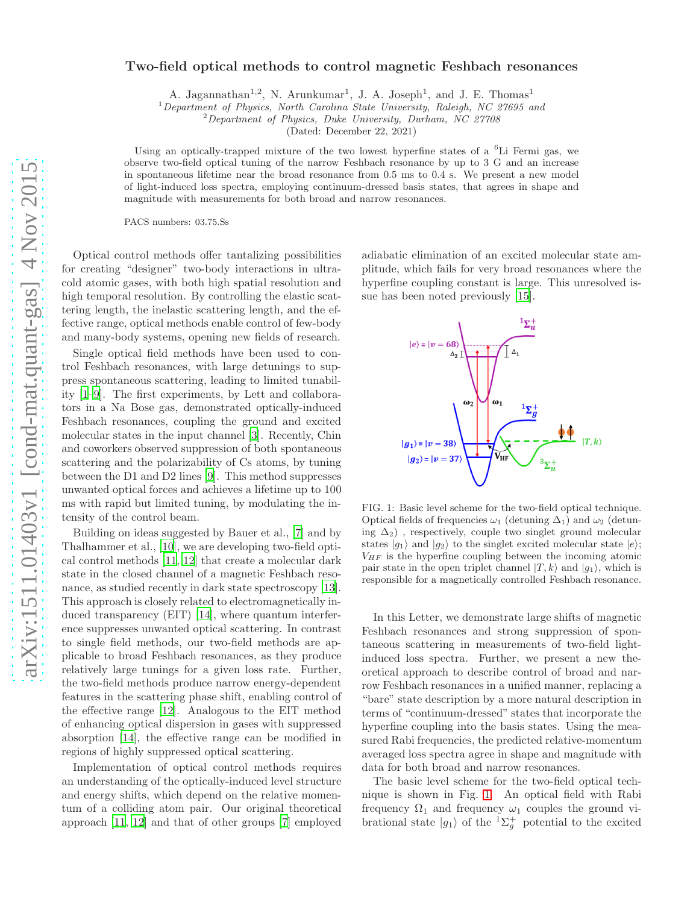# Two-field optical methods to control magnetic Feshbach resonances

A. Jagannathan<sup>1,2</sup>, N. Arunkumar<sup>1</sup>, J. A. Joseph<sup>1</sup>, and J. E. Thomas<sup>1</sup>

 $1$ Department of Physics, North Carolina State University, Raleigh, NC 27695 and

<sup>2</sup>Department of Physics, Duke University, Durham, NC 27708

(Dated: December 22, 2021)

Using an optically-trapped mixture of the two lowest hyperfine states of a  ${}^{6}$ Li Fermi gas, we observe two-field optical tuning of the narrow Feshbach resonance by up to 3 G and an increase in spontaneous lifetime near the broad resonance from 0.5 ms to 0.4 s. We present a new model of light-induced loss spectra, employing continuum-dressed basis states, that agrees in shape and magnitude with measurements for both broad and narrow resonances.

PACS numbers: 03.75.Ss

Optical control methods offer tantalizing possibilities for creating "designer" two-body interactions in ultracold atomic gases, with both high spatial resolution and high temporal resolution. By controlling the elastic scattering length, the inelastic scattering length, and the effective range, optical methods enable control of few-body and many-body systems, opening new fields of research.

Single optical field methods have been used to control Feshbach resonances, with large detunings to suppress spontaneous scattering, leading to limited tunability [\[1](#page-3-0)[–9](#page-3-1)]. The first experiments, by Lett and collaborators in a Na Bose gas, demonstrated optically-induced Feshbach resonances, coupling the ground and excited molecular states in the input channel [\[3](#page-3-2)]. Recently, Chin and coworkers observed suppression of both spontaneous scattering and the polarizability of Cs atoms, by tuning between the D1 and D2 lines [\[9\]](#page-3-1). This method suppresses unwanted optical forces and achieves a lifetime up to 100 ms with rapid but limited tuning, by modulating the intensity of the control beam.

Building on ideas suggested by Bauer et al., [\[7\]](#page-3-3) and by Thalhammer et al., [\[10](#page-3-4)], we are developing two-field optical control methods [\[11,](#page-3-5) [12\]](#page-3-6) that create a molecular dark state in the closed channel of a magnetic Feshbach resonance, as studied recently in dark state spectroscopy [\[13\]](#page-3-7). This approach is closely related to electromagnetically induced transparency (EIT) [\[14](#page-4-0)], where quantum interference suppresses unwanted optical scattering. In contrast to single field methods, our two-field methods are applicable to broad Feshbach resonances, as they produce relatively large tunings for a given loss rate. Further, the two-field methods produce narrow energy-dependent features in the scattering phase shift, enabling control of the effective range [\[12\]](#page-3-6). Analogous to the EIT method of enhancing optical dispersion in gases with suppressed absorption [\[14](#page-4-0)], the effective range can be modified in regions of highly suppressed optical scattering.

Implementation of optical control methods requires an understanding of the optically-induced level structure and energy shifts, which depend on the relative momentum of a colliding atom pair. Our original theoretical approach [\[11,](#page-3-5) [12](#page-3-6)] and that of other groups [\[7](#page-3-3)] employed

adiabatic elimination of an excited molecular state amplitude, which fails for very broad resonances where the hyperfine coupling constant is large. This unresolved issue has been noted previously [\[15\]](#page-4-1).



<span id="page-0-0"></span>FIG. 1: Basic level scheme for the two-field optical technique. Optical fields of frequencies  $\omega_1$  (detuning  $\Delta_1$ ) and  $\omega_2$  (detuning  $\Delta_2$ ), respectively, couple two singlet ground molecular states  $|g_1\rangle$  and  $|g_2\rangle$  to the singlet excited molecular state  $|e\rangle$ ;  $V_{HF}$  is the hyperfine coupling between the incoming atomic pair state in the open triplet channel  $|T, k\rangle$  and  $|g_1\rangle$ , which is responsible for a magnetically controlled Feshbach resonance.

In this Letter, we demonstrate large shifts of magnetic Feshbach resonances and strong suppression of spontaneous scattering in measurements of two-field lightinduced loss spectra. Further, we present a new theoretical approach to describe control of broad and narrow Feshbach resonances in a unified manner, replacing a "bare" state description by a more natural description in terms of "continuum-dressed" states that incorporate the hyperfine coupling into the basis states. Using the measured Rabi frequencies, the predicted relative-momentum averaged loss spectra agree in shape and magnitude with data for both broad and narrow resonances.

The basic level scheme for the two-field optical technique is shown in Fig. [1.](#page-0-0) An optical field with Rabi frequency  $\Omega_1$  and frequency  $\omega_1$  couples the ground vibrational state  $|g_1\rangle$  of the  ${}^{1}\Sigma_g^+$  potential to the excited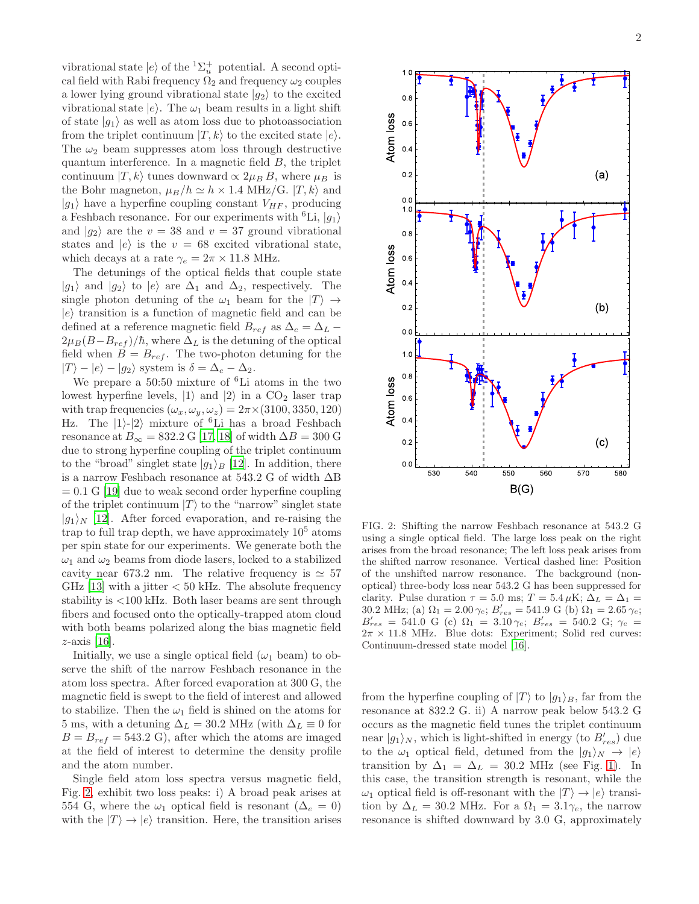vibrational state  $|e\rangle$  of the  ${}^{1}\Sigma_{u}^{+}$  potential. A second optical field with Rabi frequency  $\Omega_2$  and frequency  $\omega_2$  couples a lower lying ground vibrational state  $|g_2\rangle$  to the excited vibrational state  $|e\rangle$ . The  $\omega_1$  beam results in a light shift of state  $|g_1\rangle$  as well as atom loss due to photoassociation from the triplet continuum  $|T, k\rangle$  to the excited state  $|e\rangle$ . The  $\omega_2$  beam suppresses atom loss through destructive quantum interference. In a magnetic field  $B$ , the triplet continuum  $|T, k\rangle$  tunes downward  $\propto 2\mu_B B$ , where  $\mu_B$  is the Bohr magneton,  $\mu_B/h \simeq h \times 1.4 \text{ MHz/G. } |T, k\rangle$  and  $|g_1\rangle$  have a hyperfine coupling constant  $V_{HF}$ , producing a Feshbach resonance. For our experiments with  ${}^6\text{Li}$ ,  $|g_1\rangle$ and  $|g_2\rangle$  are the  $v = 38$  and  $v = 37$  ground vibrational states and  $|e\rangle$  is the  $v = 68$  excited vibrational state, which decays at a rate  $\gamma_e = 2\pi \times 11.8$  MHz.

The detunings of the optical fields that couple state  $|g_1\rangle$  and  $|g_2\rangle$  to  $|e\rangle$  are  $\Delta_1$  and  $\Delta_2$ , respectively. The single photon detuning of the  $\omega_1$  beam for the  $|T\rangle \rightarrow$  $|e\rangle$  transition is a function of magnetic field and can be defined at a reference magnetic field  $B_{ref}$  as  $\Delta_e = \Delta_L 2\mu_B(B-B_{ref})/\hbar$ , where  $\Delta_L$  is the detuning of the optical field when  $B = B_{ref}$ . The two-photon detuning for the  $|T\rangle - |e\rangle - |g_2\rangle$  system is  $\delta = \Delta_e - \Delta_2$ .

We prepare a 50:50 mixture of <sup>6</sup>Li atoms in the two lowest hyperfine levels,  $|1\rangle$  and  $|2\rangle$  in a CO<sub>2</sub> laser trap with trap frequencies  $(\omega_x, \omega_y, \omega_z) = 2\pi \times (3100, 3350, 120)$ Hz. The  $|1\rangle$ - $|2\rangle$  mixture of <sup>6</sup>Li has a broad Feshbach resonance at  $B_{\infty} = 832.2 \text{ G } [17, 18]$  $B_{\infty} = 832.2 \text{ G } [17, 18]$  $B_{\infty} = 832.2 \text{ G } [17, 18]$  of width  $\Delta B = 300 \text{ G}$ due to strong hyperfine coupling of the triplet continuum to the "broad" singlet state  $|g_1\rangle_B$  [\[12\]](#page-3-6). In addition, there is a narrow Feshbach resonance at 543.2 G of width ∆B  $= 0.1$  G [\[19](#page-4-4)] due to weak second order hyperfine coupling of the triplet continuum  $|T\rangle$  to the "narrow" singlet state  $|g_1\rangle_N$  [\[12](#page-3-6)]. After forced evaporation, and re-raising the trap to full trap depth, we have approximately  $10<sup>5</sup>$  atoms per spin state for our experiments. We generate both the  $\omega_1$  and  $\omega_2$  beams from diode lasers, locked to a stabilized cavity near 673.2 nm. The relative frequency is  $\simeq 57$ GHz [\[13\]](#page-3-7) with a jitter  $< 50$  kHz. The absolute frequency stability is <100 kHz. Both laser beams are sent through fibers and focused onto the optically-trapped atom cloud with both beams polarized along the bias magnetic field  $z$ -axis [\[16\]](#page-4-5).

Initially, we use a single optical field  $(\omega_1$  beam) to observe the shift of the narrow Feshbach resonance in the atom loss spectra. After forced evaporation at 300 G, the magnetic field is swept to the field of interest and allowed to stabilize. Then the  $\omega_1$  field is shined on the atoms for 5 ms, with a detuning  $\Delta_L = 30.2$  MHz (with  $\Delta_L \equiv 0$  for  $B = B_{ref} = 543.2$  G), after which the atoms are imaged at the field of interest to determine the density profile and the atom number.

Single field atom loss spectra versus magnetic field, Fig. [2,](#page-1-0) exhibit two loss peaks: i) A broad peak arises at 554 G, where the  $\omega_1$  optical field is resonant ( $\Delta_e = 0$ ) with the  $|T\rangle \rightarrow |e\rangle$  transition. Here, the transition arises



<span id="page-1-0"></span>FIG. 2: Shifting the narrow Feshbach resonance at 543.2 G using a single optical field. The large loss peak on the right arises from the broad resonance; The left loss peak arises from the shifted narrow resonance. Vertical dashed line: Position of the unshifted narrow resonance. The background (nonoptical) three-body loss near 543.2 G has been suppressed for clarity. Pulse duration  $\tau = 5.0$  ms;  $T = 5.4 \,\mu\text{K}; \Delta_L = \Delta_1 =$ 30.2 MHz; (a)  $\Omega_1 = 2.00 \gamma_e$ ;  $B'_{res} = 541.9 \text{ G (b) } \Omega_1 = 2.65 \gamma_e$ ;  $B'_{res} = 541.0 \text{ G (c) } \Omega_1 = 3.10 \gamma_e; B'_{res} = 540.2 \text{ G; } \gamma_e =$  $2\pi \times 11.8$  MHz. Blue dots: Experiment; Solid red curves: Continuum-dressed state model [\[16](#page-4-5)].

from the hyperfine coupling of  $|T\rangle$  to  $|g_1\rangle_B$ , far from the resonance at 832.2 G. ii) A narrow peak below 543.2 G occurs as the magnetic field tunes the triplet continuum near  $|g_1\rangle_N$ , which is light-shifted in energy (to  $B'_{res}$ ) due to the  $\omega_1$  optical field, detuned from the  $|g_1\rangle_N \rightarrow |e\rangle$ transition by  $\Delta_1 = \Delta_L = 30.2$  MHz (see Fig. [1\)](#page-0-0). In this case, the transition strength is resonant, while the  $\omega_1$  optical field is off-resonant with the  $|T\rangle \rightarrow |e\rangle$  transition by  $\Delta_L = 30.2$  MHz. For a  $\Omega_1 = 3.1\gamma_e$ , the narrow resonance is shifted downward by 3.0 G, approximately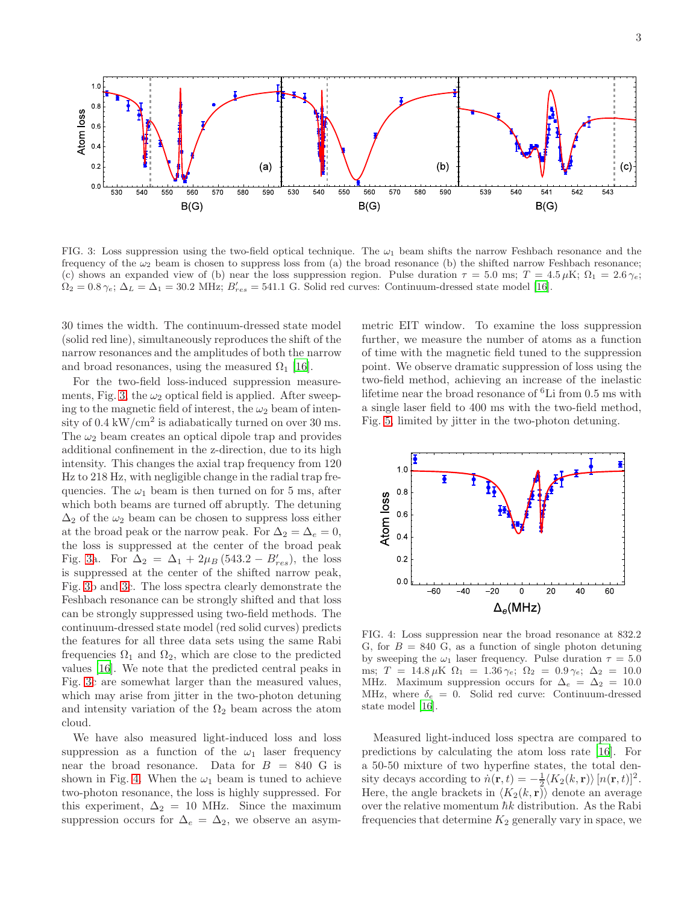

<span id="page-2-0"></span>FIG. 3: Loss suppression using the two-field optical technique. The  $\omega_1$  beam shifts the narrow Feshbach resonance and the frequency of the  $\omega_2$  beam is chosen to suppress loss from (a) the broad resonance (b) the shifted narrow Feshbach resonance; (c) shows an expanded view of (b) near the loss suppression region. Pulse duration  $\tau = 5.0$  ms;  $T = 4.5 \,\mu\text{K}$ ;  $\Omega_1 = 2.6 \,\gamma_e$ ;  $\Omega_2 = 0.8 \gamma_e$ ;  $\Delta_L = \Delta_1 = 30.2 \text{ MHz}$ ;  $B'_{res} = 541.1 \text{ G}$ . Solid red curves: Continuum-dressed state model [\[16](#page-4-5)].

30 times the width. The continuum-dressed state model (solid red line), simultaneously reproduces the shift of the narrow resonances and the amplitudes of both the narrow and broad resonances, using the measured  $\Omega_1$  [\[16](#page-4-5)].

For the two-field loss-induced suppression measure-ments, Fig. [3,](#page-2-0) the  $\omega_2$  optical field is applied. After sweeping to the magnetic field of interest, the  $\omega_2$  beam of intensity of 0.4 kW/cm<sup>2</sup> is adiabatically turned on over 30 ms. The  $\omega_2$  beam creates an optical dipole trap and provides additional confinement in the z-direction, due to its high intensity. This changes the axial trap frequency from 120 Hz to 218 Hz, with negligible change in the radial trap frequencies. The  $\omega_1$  beam is then turned on for 5 ms, after which both beams are turned off abruptly. The detuning  $\Delta_2$  of the  $\omega_2$  beam can be chosen to suppress loss either at the broad peak or the narrow peak. For  $\Delta_2 = \Delta_e = 0$ , the loss is suppressed at the center of the broad peak Fig. [3a](#page-2-0). For  $\Delta_2 = \Delta_1 + 2\mu_B (543.2 - B'_{res})$ , the loss is suppressed at the center of the shifted narrow peak, Fig. [3b](#page-2-0) and [3c](#page-2-0). The loss spectra clearly demonstrate the Feshbach resonance can be strongly shifted and that loss can be strongly suppressed using two-field methods. The continuum-dressed state model (red solid curves) predicts the features for all three data sets using the same Rabi frequencies  $\Omega_1$  and  $\Omega_2$ , which are close to the predicted values [\[16\]](#page-4-5). We note that the predicted central peaks in Fig. [3c](#page-2-0) are somewhat larger than the measured values, which may arise from jitter in the two-photon detuning and intensity variation of the  $\Omega_2$  beam across the atom cloud.

We have also measured light-induced loss and loss suppression as a function of the  $\omega_1$  laser frequency near the broad resonance. Data for  $B = 840$  G is shown in Fig. [4.](#page-2-1) When the  $\omega_1$  beam is tuned to achieve two-photon resonance, the loss is highly suppressed. For this experiment,  $\Delta_2 = 10$  MHz. Since the maximum suppression occurs for  $\Delta_e = \Delta_2$ , we observe an asym-

metric EIT window. To examine the loss suppression further, we measure the number of atoms as a function of time with the magnetic field tuned to the suppression point. We observe dramatic suppression of loss using the two-field method, achieving an increase of the inelastic lifetime near the broad resonance of  ${}^{6}$ Li from 0.5 ms with a single laser field to 400 ms with the two-field method, Fig. [5,](#page-3-8) limited by jitter in the two-photon detuning.



<span id="page-2-1"></span>FIG. 4: Loss suppression near the broad resonance at 832.2 G, for  $B = 840$  G, as a function of single photon detuning by sweeping the  $\omega_1$  laser frequency. Pulse duration  $\tau = 5.0$ ms; T = 14.8  $\mu$ K  $\Omega_1$  = 1.36  $\gamma_e$ ;  $\Omega_2$  = 0.9  $\gamma_e$ ;  $\Delta_2$  = 10.0 MHz. Maximum suppression occurs for  $\Delta_e = \Delta_2 = 10.0$ MHz, where  $\delta_e = 0$ . Solid red curve: Continuum-dressed state model [\[16\]](#page-4-5).

Measured light-induced loss spectra are compared to predictions by calculating the atom loss rate [\[16](#page-4-5)]. For a 50-50 mixture of two hyperfine states, the total density decays according to  $\dot{n}(\mathbf{r}, t) = -\frac{1}{2} \langle K_2(k, \mathbf{r}) \rangle [n(\mathbf{r}, t)]^2$ . Here, the angle brackets in  $\langle K_2(k, r) \rangle$  denote an average over the relative momentum  $\hbar k$  distribution. As the Rabi frequencies that determine  $K_2$  generally vary in space, we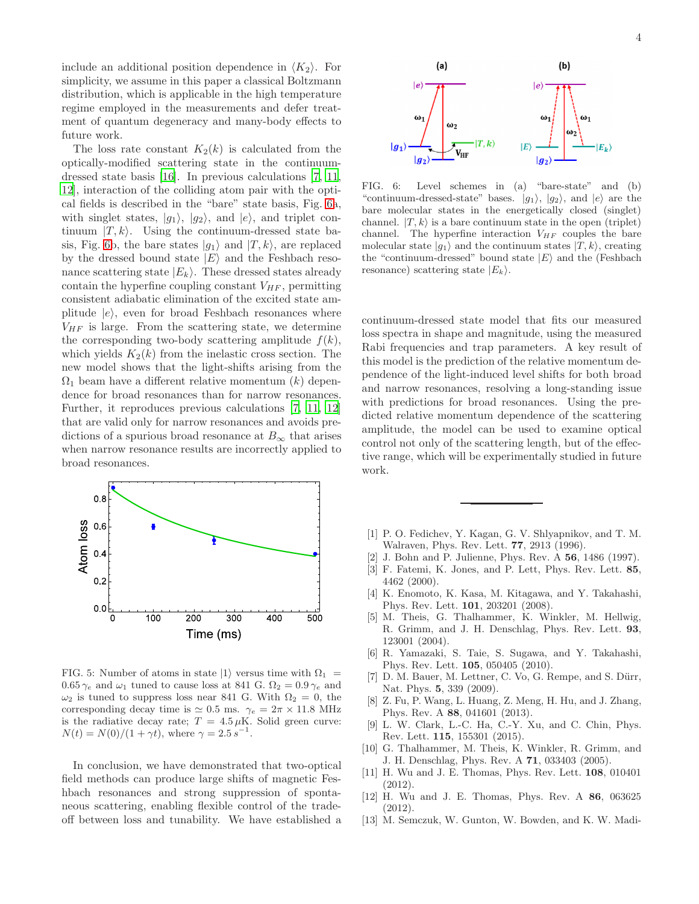include an additional position dependence in  $\langle K_2 \rangle$ . For simplicity, we assume in this paper a classical Boltzmann distribution, which is applicable in the high temperature regime employed in the measurements and defer treatment of quantum degeneracy and many-body effects to future work.

The loss rate constant  $K_2(k)$  is calculated from the optically-modified scattering state in the continuumdressed state basis [\[16](#page-4-5)]. In previous calculations [\[7,](#page-3-3) [11](#page-3-5), [12\]](#page-3-6), interaction of the colliding atom pair with the optical fields is described in the "bare" state basis, Fig. [6a](#page-3-9), with singlet states,  $|g_1\rangle$ ,  $|g_2\rangle$ , and  $|e\rangle$ , and triplet continuum  $|T, k\rangle$ . Using the continuum-dressed state ba-sis, Fig. [6b](#page-3-9), the bare states  $|g_1\rangle$  and  $|T, k\rangle$ , are replaced by the dressed bound state  $|E\rangle$  and the Feshbach resonance scattering state  $|E_k\rangle$ . These dressed states already contain the hyperfine coupling constant  $V_{HF}$ , permitting consistent adiabatic elimination of the excited state amplitude  $|e\rangle$ , even for broad Feshbach resonances where  $V_{HF}$  is large. From the scattering state, we determine the corresponding two-body scattering amplitude  $f(k)$ , which yields  $K_2(k)$  from the inelastic cross section. The new model shows that the light-shifts arising from the  $\Omega_1$  beam have a different relative momentum  $(k)$  dependence for broad resonances than for narrow resonances. Further, it reproduces previous calculations [\[7,](#page-3-3) [11,](#page-3-5) [12](#page-3-6)] that are valid only for narrow resonances and avoids predictions of a spurious broad resonance at  $B_{\infty}$  that arises when narrow resonance results are incorrectly applied to broad resonances.



<span id="page-3-8"></span>FIG. 5: Number of atoms in state  $|1\rangle$  versus time with  $\Omega_1$  =  $0.65 \gamma_e$  and  $\omega_1$  tuned to cause loss at 841 G.  $\Omega_2 = 0.9 \gamma_e$  and  $\omega_2$  is tuned to suppress loss near 841 G. With  $\Omega_2 = 0$ , the corresponding decay time is  $\simeq 0.5$  ms.  $\gamma_e = 2\pi \times 11.8$  MHz is the radiative decay rate;  $T = 4.5 \,\mu\text{K}$ . Solid green curve:  $N(t) = N(0)/(1 + \gamma t)$ , where  $\gamma = 2.5 s^{-1}$ .

In conclusion, we have demonstrated that two-optical field methods can produce large shifts of magnetic Feshbach resonances and strong suppression of spontaneous scattering, enabling flexible control of the tradeoff between loss and tunability. We have established a

<span id="page-3-9"></span>FIG. 6: Level schemes in (a) "bare-state" and (b) "continuum-dressed-state" bases.  $|g_1\rangle$ ,  $|g_2\rangle$ , and  $|e\rangle$  are the bare molecular states in the energetically closed (singlet) channel.  $|T, k\rangle$  is a bare continuum state in the open (triplet) channel. The hyperfine interaction  $V_{HF}$  couples the bare molecular state  $|g_1\rangle$  and the continuum states  $|T, k\rangle$ , creating the "continuum-dressed" bound state  $|E\rangle$  and the (Feshbach resonance) scattering state  $|E_k\rangle$ .

continuum-dressed state model that fits our measured loss spectra in shape and magnitude, using the measured Rabi frequencies and trap parameters. A key result of this model is the prediction of the relative momentum dependence of the light-induced level shifts for both broad and narrow resonances, resolving a long-standing issue with predictions for broad resonances. Using the predicted relative momentum dependence of the scattering amplitude, the model can be used to examine optical control not only of the scattering length, but of the effective range, which will be experimentally studied in future work.

- <span id="page-3-0"></span>[1] P. O. Fedichev, Y. Kagan, G. V. Shlyapnikov, and T. M. Walraven, Phys. Rev. Lett. 77, 2913 (1996).
- [2] J. Bohn and P. Julienne, Phys. Rev. A 56, 1486 (1997).
- <span id="page-3-2"></span>[3] F. Fatemi, K. Jones, and P. Lett, Phys. Rev. Lett. 85, 4462 (2000).
- [4] K. Enomoto, K. Kasa, M. Kitagawa, and Y. Takahashi, Phys. Rev. Lett. 101, 203201 (2008).
- [5] M. Theis, G. Thalhammer, K. Winkler, M. Hellwig, R. Grimm, and J. H. Denschlag, Phys. Rev. Lett. 93, 123001 (2004).
- [6] R. Yamazaki, S. Taie, S. Sugawa, and Y. Takahashi, Phys. Rev. Lett. 105, 050405 (2010).
- <span id="page-3-3"></span>[7] D. M. Bauer, M. Lettner, C. Vo, G. Rempe, and S. Dürr, Nat. Phys. 5, 339 (2009).
- [8] Z. Fu, P. Wang, L. Huang, Z. Meng, H. Hu, and J. Zhang, Phys. Rev. A 88, 041601 (2013).
- <span id="page-3-1"></span>[9] L. W. Clark, L.-C. Ha, C.-Y. Xu, and C. Chin, Phys. Rev. Lett. 115, 155301 (2015).
- <span id="page-3-4"></span>[10] G. Thalhammer, M. Theis, K. Winkler, R. Grimm, and J. H. Denschlag, Phys. Rev. A 71, 033403 (2005).
- <span id="page-3-5"></span>[11] H. Wu and J. E. Thomas, Phys. Rev. Lett. 108, 010401 (2012).
- <span id="page-3-6"></span>[12] H. Wu and J. E. Thomas, Phys. Rev. A 86, 063625 (2012).
- <span id="page-3-7"></span>[13] M. Semczuk, W. Gunton, W. Bowden, and K. W. Madi-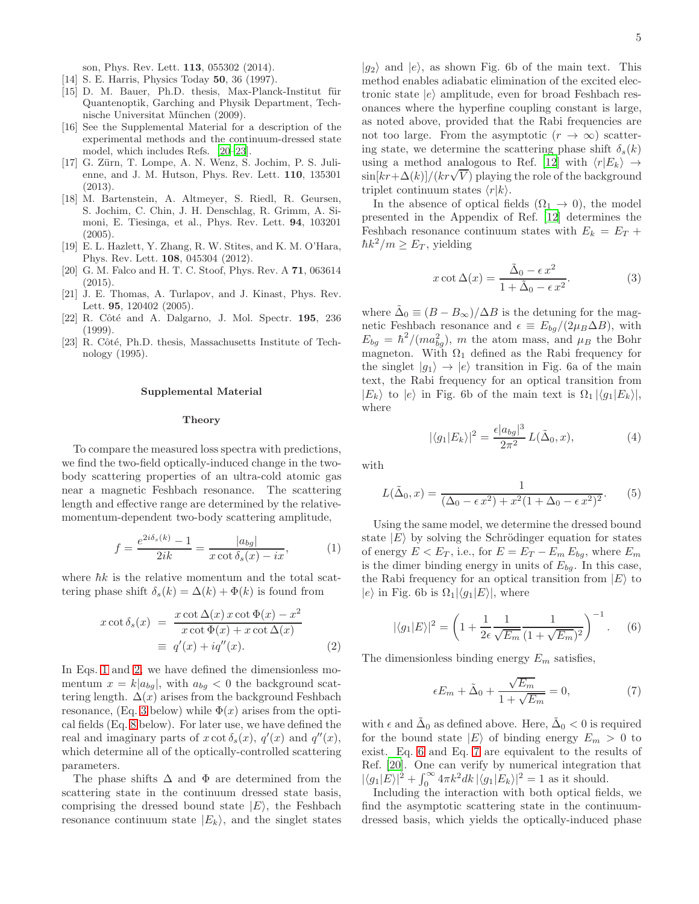son, Phys. Rev. Lett. 113, 055302 (2014).

- <span id="page-4-0"></span>[14] S. E. Harris, Physics Today 50, 36 (1997).
- <span id="page-4-1"></span>[15] D. M. Bauer, Ph.D. thesis, Max-Planck-Institut für Quantenoptik, Garching and Physik Department, Technische Universitat München (2009).
- <span id="page-4-5"></span>[16] See the Supplemental Material for a description of the experimental methods and the continuum-dressed state model, which includes Refs. [\[20](#page-4-6)[–23\]](#page-4-7).
- <span id="page-4-2"></span>[17] G. Zürn, T. Lompe, A. N. Wenz, S. Jochim, P. S. Julienne, and J. M. Hutson, Phys. Rev. Lett. 110, 135301 (2013).
- <span id="page-4-3"></span>[18] M. Bartenstein, A. Altmeyer, S. Riedl, R. Geursen, S. Jochim, C. Chin, J. H. Denschlag, R. Grimm, A. Simoni, E. Tiesinga, et al., Phys. Rev. Lett. 94, 103201 (2005).
- <span id="page-4-4"></span>[19] E. L. Hazlett, Y. Zhang, R. W. Stites, and K. M. O'Hara, Phys. Rev. Lett. 108, 045304 (2012).
- <span id="page-4-6"></span>[20] G. M. Falco and H. T. C. Stoof, Phys. Rev. A 71, 063614 (2015).
- <span id="page-4-14"></span>[21] J. E. Thomas, A. Turlapov, and J. Kinast, Phys. Rev. Lett. 95, 120402 (2005).
- <span id="page-4-15"></span>[22] R. Côté and A. Dalgarno, J. Mol. Spectr. **195**, 236 (1999).
- <span id="page-4-7"></span>[23] R. Côté, Ph.D. thesis, Massachusetts Institute of Technology (1995).

### Supplemental Material

### **Theory**

To compare the measured loss spectra with predictions, we find the two-field optically-induced change in the twobody scattering properties of an ultra-cold atomic gas near a magnetic Feshbach resonance. The scattering length and effective range are determined by the relativemomentum-dependent two-body scattering amplitude,

<span id="page-4-8"></span>
$$
f = \frac{e^{2i\delta_s(k)} - 1}{2ik} = \frac{|a_{bg}|}{x \cot \delta_s(x) - ix},\tag{1}
$$

where  $\hbar k$  is the relative momentum and the total scattering phase shift  $\delta_s(k) = \Delta(k) + \Phi(k)$  is found from

<span id="page-4-9"></span>
$$
x \cot \delta_s(x) = \frac{x \cot \Delta(x) x \cot \Phi(x) - x^2}{x \cot \Phi(x) + x \cot \Delta(x)}
$$
  

$$
\equiv q'(x) + iq''(x).
$$
 (2)

In Eqs. [1](#page-4-8) and [2,](#page-4-9) we have defined the dimensionless momentum  $x = k|a_{bg}|$ , with  $a_{bg} < 0$  the background scattering length.  $\Delta(x)$  arises from the background Feshbach resonance, (Eq. [3](#page-4-10) below) while  $\Phi(x)$  arises from the optical fields (Eq. [8](#page-5-0) below). For later use, we have defined the real and imaginary parts of  $x \cot \delta_s(x)$ ,  $q'(x)$  and  $q''(x)$ , which determine all of the optically-controlled scattering parameters.

The phase shifts  $\Delta$  and  $\Phi$  are determined from the scattering state in the continuum dressed state basis, comprising the dressed bound state  $|E\rangle$ , the Feshbach resonance continuum state  $|E_k\rangle$ , and the singlet states

 $|g_2\rangle$  and  $|e\rangle$ , as shown Fig. 6b of the main text. This method enables adiabatic elimination of the excited electronic state  $|e\rangle$  amplitude, even for broad Feshbach resonances where the hyperfine coupling constant is large, as noted above, provided that the Rabi frequencies are not too large. From the asymptotic  $(r \to \infty)$  scattering state, we determine the scattering phase shift  $\delta_s(k)$ using a method analogous to Ref. [\[12\]](#page-3-6) with  $\langle r|E_k\rangle \rightarrow$  $\sin[kr+\Delta(k)]/(kr\sqrt{V})$  playing the role of the background triplet continuum states  $\langle r|k\rangle$ .

In the absence of optical fields  $(\Omega_1 \rightarrow 0)$ , the model presented in the Appendix of Ref. [\[12\]](#page-3-6) determines the Feshbach resonance continuum states with  $E_k = E_T +$  $\hbar k^2/m \geq E_T$ , yielding

<span id="page-4-10"></span>
$$
x \cot \Delta(x) = \frac{\tilde{\Delta}_0 - \epsilon x^2}{1 + \tilde{\Delta}_0 - \epsilon x^2}.
$$
 (3)

where  $\tilde{\Delta}_0 \equiv (B - B_{\infty})/\Delta B$  is the detuning for the magnetic Feshbach resonance and  $\epsilon \equiv E_{bg}/(2\mu_B\Delta B)$ , with  $E_{bg} = \hbar^2/(ma_{bg}^2)$ , m the atom mass, and  $\mu_B$  the Bohr magneton. With  $\Omega_1$  defined as the Rabi frequency for the singlet  $|g_1\rangle \rightarrow |e\rangle$  transition in Fig. 6a of the main text, the Rabi frequency for an optical transition from  $|E_k\rangle$  to  $|e\rangle$  in Fig. 6b of the main text is  $\Omega_1 |\langle g_1|E_k\rangle|$ , where

<span id="page-4-13"></span>
$$
|\langle g_1 | E_k \rangle|^2 = \frac{\epsilon |a_{bg}|^3}{2\pi^2} L(\tilde{\Delta}_0, x), \tag{4}
$$

with

$$
L(\tilde{\Delta}_0, x) = \frac{1}{(\Delta_0 - \epsilon x^2) + x^2 (1 + \Delta_0 - \epsilon x^2)^2}.
$$
 (5)

Using the same model, we determine the dressed bound state  $|E\rangle$  by solving the Schrödinger equation for states of energy  $E < E_T$ , i.e., for  $E = E_T - E_m E_{bg}$ , where  $E_m$ is the dimer binding energy in units of  $E_{ba}$ . In this case, the Rabi frequency for an optical transition from  $|E\rangle$  to  $|e\rangle$  in Fig. 6b is  $\Omega_1|\langle q_1|E\rangle|$ , where

<span id="page-4-11"></span>
$$
|\langle g_1 | E \rangle|^2 = \left(1 + \frac{1}{2\epsilon} \frac{1}{\sqrt{E_m}} \frac{1}{(1 + \sqrt{E_m})^2}\right)^{-1}.
$$
 (6)

The dimensionless binding energy  $E_m$  satisfies,

<span id="page-4-12"></span>
$$
\epsilon E_m + \tilde{\Delta}_0 + \frac{\sqrt{E_m}}{1 + \sqrt{E_m}} = 0,\tag{7}
$$

with  $\epsilon$  and  $\tilde{\Delta}_0$  as defined above. Here,  $\tilde{\Delta}_0 < 0$  is required for the bound state  $|E\rangle$  of binding energy  $E_m > 0$  to exist. Eq. [6](#page-4-11) and Eq. [7](#page-4-12) are equivalent to the results of Ref. [\[20](#page-4-6)]. One can verify by numerical integration that  $|\langle g_1|E\rangle|^2 + \int_0^\infty 4\pi k^2 dk \, |\langle g_1|E_k\rangle|^2 = 1$  as it should.

Including the interaction with both optical fields, we find the asymptotic scattering state in the continuumdressed basis, which yields the optically-induced phase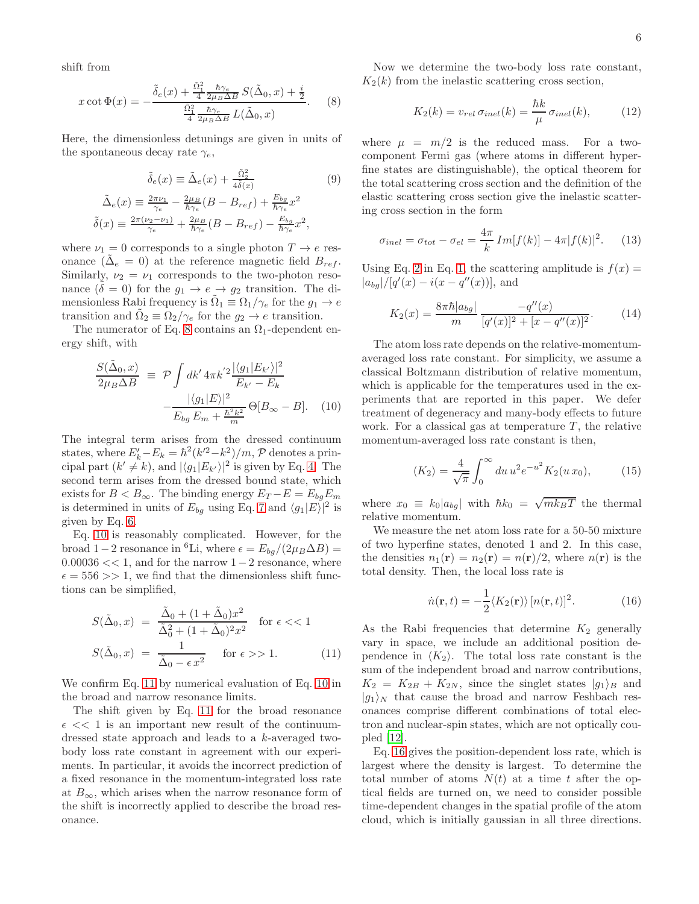shift from

<span id="page-5-0"></span>
$$
x \cot \Phi(x) = -\frac{\tilde{\delta}_e(x) + \frac{\tilde{\Omega}_1^2}{4} \frac{\hbar \gamma_e}{2 \mu_B \Delta B} S(\tilde{\Delta}_0, x) + \frac{i}{2}}{\frac{\tilde{\Omega}_1^2}{4} \frac{\hbar \gamma_e}{2 \mu_B \Delta B} L(\tilde{\Delta}_0, x)}.
$$
 (8)

Here, the dimensionless detunings are given in units of the spontaneous decay rate  $\gamma_e$ ,

$$
\tilde{\delta}_e(x) \equiv \tilde{\Delta}_e(x) + \frac{\tilde{\Omega}_2^2}{4\tilde{\delta}(x)}
$$
(9)  

$$
\tilde{\Delta}_e(x) \equiv \frac{2\pi\nu_1}{\gamma_e} - \frac{2\mu_B}{\hbar\gamma_e}(B - B_{ref}) + \frac{E_{bg}}{\hbar\gamma_e}x^2
$$
  

$$
\tilde{\delta}(x) \equiv \frac{2\pi(\nu_2 - \nu_1)}{\gamma_e} + \frac{2\mu_B}{\hbar\gamma_e}(B - B_{ref}) - \frac{E_{bg}}{\hbar\gamma_e}x^2,
$$

where  $\nu_1 = 0$  corresponds to a single photon  $T \to e$  resonance  $(\tilde{\Delta}_{e} = 0)$  at the reference magnetic field  $B_{ref}$ . Similarly,  $\nu_2 = \nu_1$  corresponds to the two-photon resonance  $(\delta = 0)$  for the  $g_1 \rightarrow e \rightarrow g_2$  transition. The dimensionless Rabi frequency is  $\tilde{\Omega}_1 \equiv \Omega_1/\gamma_e$  for the  $g_1 \to e$ transition and  $\tilde{\Omega}_2 \equiv \Omega_2/\gamma_e$  for the  $g_2 \to e$  transition.

The numerator of Eq. [8](#page-5-0) contains an  $\Omega_1$ -dependent energy shift, with

<span id="page-5-1"></span>
$$
\frac{S(\tilde{\Delta}_{0},x)}{2\mu_{B}\Delta B} \equiv \mathcal{P} \int dk' 4\pi k'^{2} \frac{|\langle g_{1}|E_{k'}\rangle|^{2}}{E_{k'} - E_{k}} -\frac{|\langle g_{1}|E\rangle|^{2}}{E_{bg}E_{m} + \frac{\hbar^{2}k^{2}}{m}} \Theta[B_{\infty} - B]. \quad (10)
$$

The integral term arises from the dressed continuum states, where  $E'_k - E_k = \hbar^2 (k'^2 - k^2) / m$ , P denotes a principal part  $(k' \neq k)$ , and  $|\langle g_1 | E_{k'} \rangle|^2$  is given by Eq. [4.](#page-4-13) The second term arises from the dressed bound state, which exists for  $B < B_{\infty}$ . The binding energy  $E_T - E = E_{bq} E_m$ is determined in units of  $E_{bg}$  using Eq. [7](#page-4-12) and  $\langle g_1|E\rangle|^2$  is given by Eq. [6.](#page-4-11)

Eq. [10](#page-5-1) is reasonably complicated. However, for the broad 1−2 resonance in <sup>6</sup>Li, where  $\epsilon = E_{bg}/(2\mu_B \Delta B)$  =  $0.00036 \ll 1$ , and for the narrow  $1-2$  resonance, where  $\epsilon = 556 >> 1$ , we find that the dimensionless shift functions can be simplified,

<span id="page-5-2"></span>
$$
S(\tilde{\Delta}_0, x) = \frac{\tilde{\Delta}_0 + (1 + \tilde{\Delta}_0)x^2}{\tilde{\Delta}_0^2 + (1 + \tilde{\Delta}_0)^2 x^2} \quad \text{for } \epsilon \ll 1
$$
  

$$
S(\tilde{\Delta}_0, x) = \frac{1}{\tilde{\Delta}_0 - \epsilon x^2} \quad \text{for } \epsilon \gg 1.
$$
 (11)

We confirm Eq. [11](#page-5-2) by numerical evaluation of Eq. [10](#page-5-1) in the broad and narrow resonance limits.

The shift given by Eq. [11](#page-5-2) for the broad resonance  $\epsilon \ll 1$  is an important new result of the continuumdressed state approach and leads to a k-averaged twobody loss rate constant in agreement with our experiments. In particular, it avoids the incorrect prediction of a fixed resonance in the momentum-integrated loss rate at  $B_{\infty}$ , which arises when the narrow resonance form of the shift is incorrectly applied to describe the broad resonance.

Now we determine the two-body loss rate constant,  $K_2(k)$  from the inelastic scattering cross section,

$$
K_2(k) = v_{rel} \,\sigma_{inel}(k) = \frac{\hbar k}{\mu} \,\sigma_{inel}(k),\tag{12}
$$

where  $\mu = m/2$  is the reduced mass. For a twocomponent Fermi gas (where atoms in different hyperfine states are distinguishable), the optical theorem for the total scattering cross section and the definition of the elastic scattering cross section give the inelastic scattering cross section in the form

$$
\sigma_{inel} = \sigma_{tot} - \sigma_{el} = \frac{4\pi}{k} Im[f(k)] - 4\pi |f(k)|^2.
$$
 (13)

Using Eq. [2](#page-4-9) in Eq. [1,](#page-4-8) the scattering amplitude is  $f(x) =$  $|a_{bg}|/[q'(x) - i(x - q''(x))],$  and

$$
K_2(x) = \frac{8\pi\hbar|a_{bg}|}{m} \frac{-q''(x)}{[q'(x)]^2 + [x - q''(x)]^2}.
$$
 (14)

The atom loss rate depends on the relative-momentumaveraged loss rate constant. For simplicity, we assume a classical Boltzmann distribution of relative momentum, which is applicable for the temperatures used in the experiments that are reported in this paper. We defer treatment of degeneracy and many-body effects to future work. For a classical gas at temperature  $T$ , the relative momentum-averaged loss rate constant is then,

$$
\langle K_2 \rangle = \frac{4}{\sqrt{\pi}} \int_0^\infty du \, u^2 e^{-u^2} K_2(u \, x_0), \tag{15}
$$

where  $x_0 \equiv k_0 |a_{bg}|$  with  $\hbar k_0 = \sqrt{mk_B T}$  the thermal relative momentum.

We measure the net atom loss rate for a 50-50 mixture of two hyperfine states, denoted 1 and 2. In this case, the densities  $n_1(\mathbf{r}) = n_2(\mathbf{r}) = n(\mathbf{r})/2$ , where  $n(\mathbf{r})$  is the total density. Then, the local loss rate is

<span id="page-5-3"></span>
$$
\dot{n}(\mathbf{r},t) = -\frac{1}{2} \langle K_2(\mathbf{r}) \rangle [n(\mathbf{r},t)]^2.
$$
 (16)

As the Rabi frequencies that determine  $K_2$  generally vary in space, we include an additional position dependence in  $\langle K_2 \rangle$ . The total loss rate constant is the sum of the independent broad and narrow contributions,  $K_2 = K_{2B} + K_{2N}$ , since the singlet states  $|g_1\rangle_B$  and  $|g_1\rangle_N$  that cause the broad and narrow Feshbach resonances comprise different combinations of total electron and nuclear-spin states, which are not optically coupled [\[12](#page-3-6)].

Eq. [16](#page-5-3) gives the position-dependent loss rate, which is largest where the density is largest. To determine the total number of atoms  $N(t)$  at a time t after the optical fields are turned on, we need to consider possible time-dependent changes in the spatial profile of the atom cloud, which is initially gaussian in all three directions.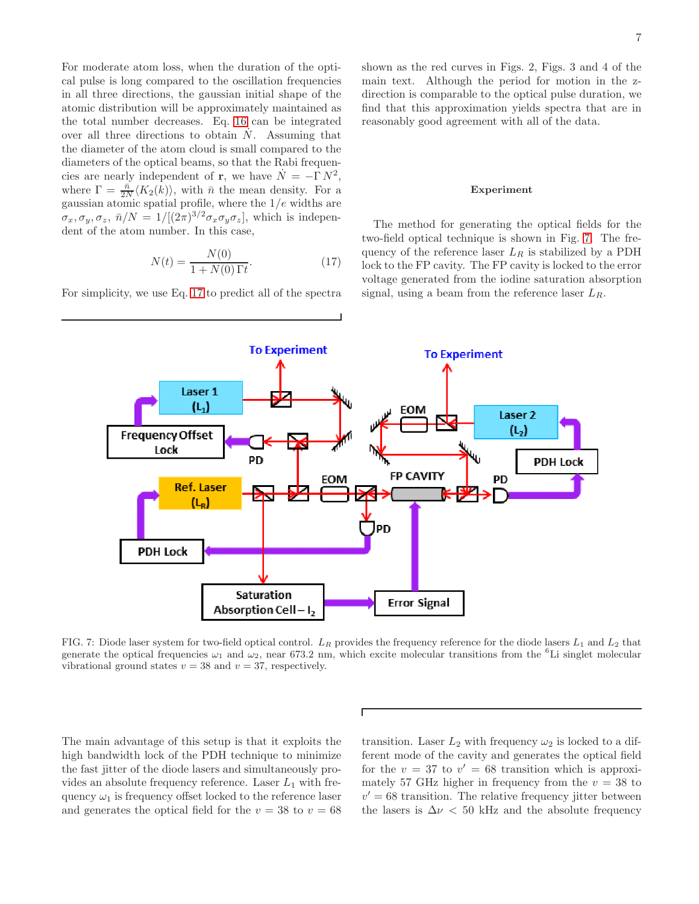For moderate atom loss, when the duration of the optical pulse is long compared to the oscillation frequencies in all three directions, the gaussian initial shape of the atomic distribution will be approximately maintained as the total number decreases. Eq. [16](#page-5-3) can be integrated over all three directions to obtain  $\dot{N}$ . Assuming that the diameter of the atom cloud is small compared to the diameters of the optical beams, so that the Rabi frequencies are nearly independent of **r**, we have  $\dot{N} = -\Gamma N^2$ , where  $\Gamma = \frac{\bar{n}}{2N} \langle K_2(k) \rangle$ , with  $\bar{n}$  the mean density. For a gaussian atomic spatial profile, where the  $1/e$  widths are  $\sigma_x, \sigma_y, \sigma_z, \bar{n}/N = 1/[(2\pi)^{3/2} \sigma_x \sigma_y \sigma_z]$ , which is independent of the atom number. In this case,

<span id="page-6-0"></span>
$$
N(t) = \frac{N(0)}{1 + N(0)\,\Gamma t}.\tag{17}
$$

For simplicity, we use Eq. [17](#page-6-0) to predict all of the spectra

shown as the red curves in Figs. 2, Figs. 3 and 4 of the main text. Although the period for motion in the zdirection is comparable to the optical pulse duration, we find that this approximation yields spectra that are in reasonably good agreement with all of the data.

### Experiment

The method for generating the optical fields for the two-field optical technique is shown in Fig. [7.](#page-6-1) The frequency of the reference laser  $L_R$  is stabilized by a PDH lock to the FP cavity. The FP cavity is locked to the error voltage generated from the iodine saturation absorption signal, using a beam from the reference laser  $L_R$ .



<span id="page-6-1"></span>FIG. 7: Diode laser system for two-field optical control.  $L_R$  provides the frequency reference for the diode lasers  $L_1$  and  $L_2$  that generate the optical frequencies  $\omega_1$  and  $\omega_2$ , near 673.2 nm, which excite molecular transitions from the <sup>6</sup>Li singlet molecular vibrational ground states  $v = 38$  and  $v = 37$ , respectively.

The main advantage of this setup is that it exploits the high bandwidth lock of the PDH technique to minimize the fast jitter of the diode lasers and simultaneously provides an absolute frequency reference. Laser  $L_1$  with frequency  $\omega_1$  is frequency offset locked to the reference laser and generates the optical field for the  $v = 38$  to  $v = 68$ 

transition. Laser  $L_2$  with frequency  $\omega_2$  is locked to a different mode of the cavity and generates the optical field for the  $v = 37$  to  $v' = 68$  transition which is approximately 57 GHz higher in frequency from the  $v = 38$  to  $v' = 68$  transition. The relative frequency jitter between the lasers is  $\Delta \nu < 50$  kHz and the absolute frequency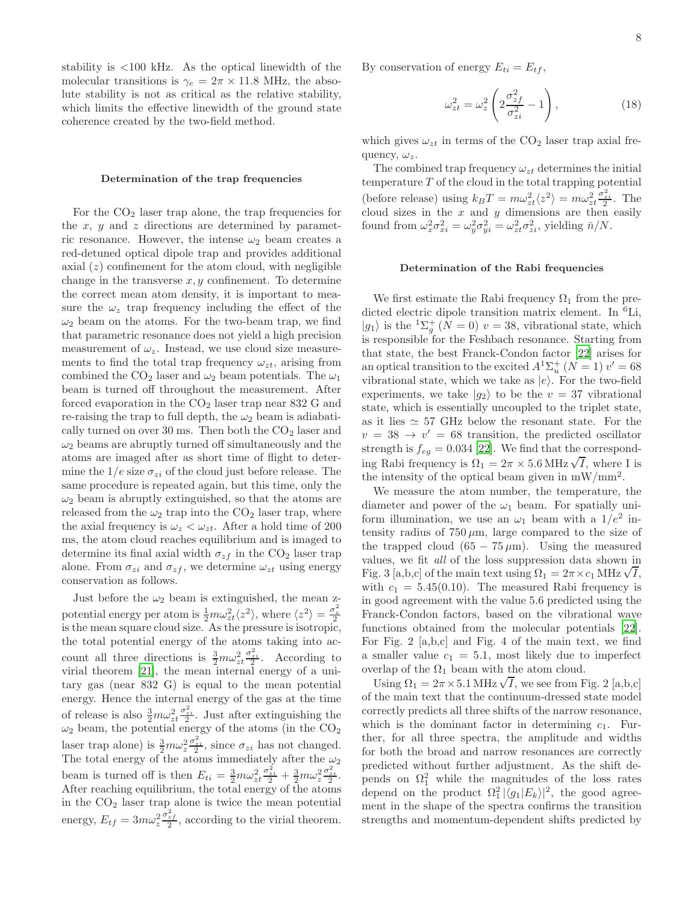stability is <100 kHz. As the optical linewidth of the molecular transitions is  $\gamma_e = 2\pi \times 11.8$  MHz, the absolute stability is not as critical as the relative stability, which limits the effective linewidth of the ground state coherence created by the two-field method.

#### Determination of the trap frequencies

For the  $CO<sub>2</sub>$  laser trap alone, the trap frequencies for the  $x, y$  and  $z$  directions are determined by parametric resonance. However, the intense  $\omega_2$  beam creates a red-detuned optical dipole trap and provides additional axial  $(z)$  confinement for the atom cloud, with negligible change in the transverse  $x, y$  confinement. To determine the correct mean atom density, it is important to measure the  $\omega_z$  trap frequency including the effect of the  $\omega_2$  beam on the atoms. For the two-beam trap, we find that parametric resonance does not yield a high precision measurement of  $\omega_z$ . Instead, we use cloud size measurements to find the total trap frequency  $\omega_{zt}$ , arising from combined the CO<sub>2</sub> laser and  $\omega_2$  beam potentials. The  $\omega_1$ beam is turned off throughout the measurement. After forced evaporation in the  $CO<sub>2</sub>$  laser trap near 832 G and re-raising the trap to full depth, the  $\omega_2$  beam is adiabatically turned on over 30 ms. Then both the  $CO<sub>2</sub>$  laser and  $\omega_2$  beams are abruptly turned off simultaneously and the atoms are imaged after as short time of flight to determine the  $1/e$  size  $\sigma_{zi}$  of the cloud just before release. The same procedure is repeated again, but this time, only the  $\omega_2$  beam is abruptly extinguished, so that the atoms are released from the  $\omega_2$  trap into the  $CO_2$  laser trap, where the axial frequency is  $\omega_z < \omega_{zt}$ . After a hold time of 200 ms, the atom cloud reaches equilibrium and is imaged to determine its final axial width  $\sigma_{zf}$  in the CO<sub>2</sub> laser trap alone. From  $\sigma_{zi}$  and  $\sigma_{zf}$ , we determine  $\omega_{zt}$  using energy conservation as follows.

Just before the  $\omega_2$  beam is extinguished, the mean zpotential energy per atom is  $\frac{1}{2}m\omega_{zt}^2 \langle z^2 \rangle$ , where  $\langle z^2 \rangle = \frac{\sigma_z^2}{2}$ is the mean square cloud size. As the pressure is isotropic, the total potential energy of the atoms taking into account all three directions is  $\frac{3}{2}m\omega_{zt}^2\frac{\sigma_{zi}^2}{2}$ . According to virial theorem [\[21](#page-4-14)], the mean internal energy of a unitary gas (near 832 G) is equal to the mean potential energy. Hence the internal energy of the gas at the time of release is also  $\frac{3}{2}m\omega_{zt}^2 \frac{\sigma_{zi}^2}{2}$ . Just after extinguishing the  $\omega_2$  beam, the potential energy of the atoms (in the CO<sub>2</sub> laser trap alone) is  $\frac{3}{2}m\omega_z^2 \frac{\sigma_{zi}^2}{2}$ , since  $\sigma_{zi}$  has not changed. The total energy of the atoms immediately after the  $\omega_2$ beam is turned off is then  $E_{ti} = \frac{3}{2} m \omega_{zt}^2 \frac{\sigma_{zi}^2}{2} + \frac{3}{2} m \omega_z^2 \frac{\sigma_{zi}^2}{2}$ . After reaching equilibrium, the total energy of the atoms in the  $CO<sub>2</sub>$  laser trap alone is twice the mean potential energy,  $E_{tf} = 3m\omega_z^2$  $\frac{\sigma_{zf}^2}{2}$ , according to the virial theorem.

By conservation of energy  $E_{ti} = E_{tf}$ ,

$$
\omega_{zt}^2 = \omega_z^2 \left( 2 \frac{\sigma_{zf}^2}{\sigma_{zi}^2} - 1 \right),\tag{18}
$$

which gives  $\omega_{zt}$  in terms of the  $CO<sub>2</sub>$  laser trap axial frequency,  $\omega_z$ .

The combined trap frequency  $\omega_{zt}$  determines the initial temperature  $T$  of the cloud in the total trapping potential (before release) using  $k_B T = m\omega_{zt}^2 \langle z^2 \rangle = m\omega_{zt}^2 \frac{\sigma_{z_i}^2}{2}$ . The cloud sizes in the  $x$  and  $y$  dimensions are then easily found from  $\omega_x^2 \sigma_{xi}^2 = \omega_y^2 \sigma_{yi}^2 = \omega_{zt}^2 \sigma_{zi}^2$ , yielding  $\bar{n}/N$ .

## Determination of the Rabi frequencies

We first estimate the Rabi frequency  $\Omega_1$  from the predicted electric dipole transition matrix element. In <sup>6</sup>Li,  $|g_1\rangle$  is the  ${}^{1}\Sigma_g^+$  ( $N=0$ )  $v=38$ , vibrational state, which is responsible for the Feshbach resonance. Starting from that state, the best Franck-Condon factor [\[22\]](#page-4-15) arises for an optical transition to the excited  $A^{1}\Sigma_{u}^{+}$   $(N-1)$   $v'=68$ vibrational state, which we take as  $|e\rangle$ . For the two-field experiments, we take  $|g_2\rangle$  to be the  $v = 37$  vibrational state, which is essentially uncoupled to the triplet state, as it lies  $\simeq$  57 GHz below the resonant state. For the  $v = 38 \rightarrow v' = 68$  transition, the predicted oscillator strength is  $f_{eq} = 0.034$  [\[22](#page-4-15)]. We find that the corresponding Rabi frequency is  $\Omega_1 = 2\pi \times 5.6 \text{ MHz } \sqrt{I}$ , where I is the intensity of the optical beam given in  $mW/mm^2$ .

We measure the atom number, the temperature, the diameter and power of the  $\omega_1$  beam. For spatially uniform illumination, we use an  $\omega_1$  beam with a  $1/e^2$  intensity radius of  $750 \mu m$ , large compared to the size of the trapped cloud  $(65 - 75 \,\mu\text{m})$ . Using the measured values, we fit all of the loss suppression data shown in Fig. 3 [a,b,c] of the main text using  $\Omega_1 = 2\pi \times c_1$  MHz  $\sqrt{I}$ , with  $c_1 = 5.45(0.10)$ . The measured Rabi frequency is in good agreement with the value 5.6 predicted using the Franck-Condon factors, based on the vibrational wave functions obtained from the molecular potentials [\[22\]](#page-4-15). For Fig. 2 [a,b,c] and Fig. 4 of the main text, we find a smaller value  $c_1 = 5.1$ , most likely due to imperfect overlap of the  $\Omega_1$  beam with the atom cloud.

Using  $\Omega_1 = 2\pi \times 5.1 \text{ MHz } \sqrt{I}$ , we see from Fig. 2 [a,b,c] of the main text that the continuum-dressed state model correctly predicts all three shifts of the narrow resonance, which is the dominant factor in determining  $c_1$ . Further, for all three spectra, the amplitude and widths for both the broad and narrow resonances are correctly predicted without further adjustment. As the shift depends on  $\Omega_1^2$  while the magnitudes of the loss rates depend on the product  $\Omega_1^2 |\langle g_1 | E_k \rangle|^2$ , the good agreement in the shape of the spectra confirms the transition strengths and momentum-dependent shifts predicted by